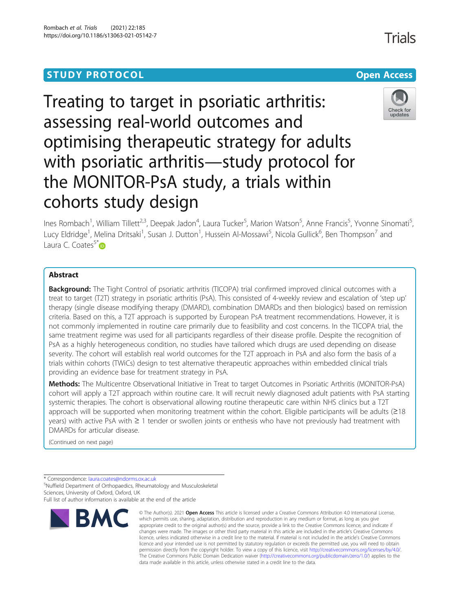## **STUDY PROTOCOL CONSUMING THE CONSUMING OPEN ACCESS**

# Treating to target in psoriatic arthritis: assessing real-world outcomes and optimising therapeutic strategy for adults with psoriatic arthritis—study protocol for the MONITOR-PsA study, a trials within cohorts study design

Ines Rombach<sup>1</sup>, William Tillett<sup>2,3</sup>, Deepak Jadon<sup>4</sup>, Laura Tucker<sup>5</sup>, Marion Watson<sup>5</sup>, Anne Francis<sup>5</sup>, Yvonne Sinomati<sup>s</sup> , Lucy Eldridge<sup>1</sup>, Melina Dritsaki<sup>1</sup>, Susan J. Dutton<sup>1</sup>, Hussein Al-Mossawi<sup>5</sup>, Nicola Gullick<sup>6</sup>, Ben Thompson<sup>7</sup> and Laura C. Coates $5*$ 

### Abstract

**Background:** The Tight Control of psoriatic arthritis (TICOPA) trial confirmed improved clinical outcomes with a treat to target (T2T) strategy in psoriatic arthritis (PsA). This consisted of 4-weekly review and escalation of 'step up' therapy (single disease modifying therapy (DMARD), combination DMARDs and then biologics) based on remission criteria. Based on this, a T2T approach is supported by European PsA treatment recommendations. However, it is not commonly implemented in routine care primarily due to feasibility and cost concerns. In the TICOPA trial, the same treatment regime was used for all participants regardless of their disease profile. Despite the recognition of PsA as a highly heterogeneous condition, no studies have tailored which drugs are used depending on disease severity. The cohort will establish real world outcomes for the T2T approach in PsA and also form the basis of a trials within cohorts (TWiCs) design to test alternative therapeutic approaches within embedded clinical trials providing an evidence base for treatment strategy in PsA.

Methods: The Multicentre Observational Initiative in Treat to target Outcomes in Psoriatic Arthritis (MONITOR-PsA) cohort will apply a T2T approach within routine care. It will recruit newly diagnosed adult patients with PsA starting systemic therapies. The cohort is observational allowing routine therapeutic care within NHS clinics but a T2T approach will be supported when monitoring treatment within the cohort. Eligible participants will be adults (≥18 years) with active PsA with ≥ 1 tender or swollen joints or enthesis who have not previously had treatment with DMARDs for articular disease.

(Continued on next page)

\* Correspondence: [laura.coates@ndorms.ox.ac.uk](mailto:laura.coates@ndorms.ox.ac.uk) <sup>5</sup>

<sup>5</sup>Nuffield Department of Orthopaedics, Rheumatology and Musculoskeletal Sciences, University of Oxford, Oxford, UK Full list of author information is available at the end of the article





<sup>©</sup> The Author(s), 2021 **Open Access** This article is licensed under a Creative Commons Attribution 4.0 International License, which permits use, sharing, adaptation, distribution and reproduction in any medium or format, as long as you give appropriate credit to the original author(s) and the source, provide a link to the Creative Commons licence, and indicate if changes were made. The images or other third party material in this article are included in the article's Creative Commons licence, unless indicated otherwise in a credit line to the material. If material is not included in the article's Creative Commons licence and your intended use is not permitted by statutory regulation or exceeds the permitted use, you will need to obtain permission directly from the copyright holder. To view a copy of this licence, visit [http://creativecommons.org/licenses/by/4.0/.](http://creativecommons.org/licenses/by/4.0/) The Creative Commons Public Domain Dedication waiver [\(http://creativecommons.org/publicdomain/zero/1.0/](http://creativecommons.org/publicdomain/zero/1.0/)) applies to the data made available in this article, unless otherwise stated in a credit line to the data.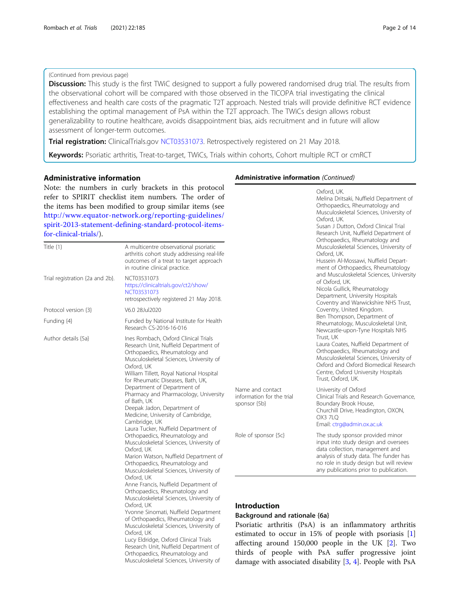### (Continued from previous page)

**Discussion:** This study is the first TWiC designed to support a fully powered randomised drug trial. The results from the observational cohort will be compared with those observed in the TICOPA trial investigating the clinical effectiveness and health care costs of the pragmatic T2T approach. Nested trials will provide definitive RCT evidence establishing the optimal management of PsA within the T2T approach. The TWiCs design allows robust generalizability to routine healthcare, avoids disappointment bias, aids recruitment and in future will allow assessment of longer-term outcomes.

Trial registration: ClinicalTrials.gov [NCT03531073](https://clinicaltrials.gov/ct2/show/NCT03531073). Retrospectively registered on 21 May 2018.

Keywords: Psoriatic arthritis, Treat-to-target, TWiCs, Trials within cohorts, Cohort multiple RCT or cmRCT

### Administrative information

Note: the numbers in curly brackets in this protocol refer to SPIRIT checklist item numbers. The order of the items has been modified to group similar items (see [http://www.equator-network.org/reporting-guidelines/](http://www.equator-network.org/reporting-guidelines/spirit-2013-statement-defining-standard-protocol-items-for-clinical-trials/) [spirit-2013-statement-defining-standard-protocol-items](http://www.equator-network.org/reporting-guidelines/spirit-2013-statement-defining-standard-protocol-items-for-clinical-trials/)[for-clinical-trials/](http://www.equator-network.org/reporting-guidelines/spirit-2013-statement-defining-standard-protocol-items-for-clinical-trials/)).

|                                 |                                                                                                                                                                                                                                                                                                                                                                                                                                                                                                                                                                                        |                                                               | Orthopaedics, Rheumatology and                                                                                                                                                                                                             |  |  |
|---------------------------------|----------------------------------------------------------------------------------------------------------------------------------------------------------------------------------------------------------------------------------------------------------------------------------------------------------------------------------------------------------------------------------------------------------------------------------------------------------------------------------------------------------------------------------------------------------------------------------------|---------------------------------------------------------------|--------------------------------------------------------------------------------------------------------------------------------------------------------------------------------------------------------------------------------------------|--|--|
| Title $\{1\}$                   | A multicentre observational psoriatic<br>arthritis cohort study addressing real-life<br>outcomes of a treat to target approach<br>in routine clinical practice.                                                                                                                                                                                                                                                                                                                                                                                                                        |                                                               | Musculoskeletal Sciences, University of<br>Oxford, UK.<br>Hussein Al-Mossawi, Nuffield Depart-<br>ment of Orthopaedics, Rheumatology                                                                                                       |  |  |
| Trial registration {2a and 2b}. | NCT03531073<br>https://clinicaltrials.gov/ct2/show/<br>NCT03531073<br>retrospectively registered 21 May 2018.                                                                                                                                                                                                                                                                                                                                                                                                                                                                          |                                                               | and Musculoskeletal Sciences, University<br>of Oxford, UK.<br>Nicola Gullick, Rheumatology<br>Department, University Hospitals<br>Coventry and Warwickshire NHS Trust,                                                                     |  |  |
| Protocol version {3}            | V6.0 28Jul2020                                                                                                                                                                                                                                                                                                                                                                                                                                                                                                                                                                         |                                                               | Coventry, United Kingdom.                                                                                                                                                                                                                  |  |  |
| Funding {4}                     | Funded by National Institute for Health<br>Research CS-2016-16-016                                                                                                                                                                                                                                                                                                                                                                                                                                                                                                                     |                                                               | Ben Thompson, Department of<br>Rheumatology, Musculoskeletal Unit,<br>Newcastle-upon-Tyne Hospitals NHS                                                                                                                                    |  |  |
| Author details {5a}             | Ines Rombach, Oxford Clinical Trials<br>Research Unit, Nuffield Department of<br>Orthopaedics, Rheumatology and<br>Musculoskeletal Sciences, University of<br>Oxford, UK<br>William Tillett, Royal National Hospital<br>for Rheumatic Diseases, Bath, UK,                                                                                                                                                                                                                                                                                                                              |                                                               | Trust, UK<br>Laura Coates, Nuffield Department of<br>Orthopaedics, Rheumatology and<br>Musculoskeletal Sciences, University of<br>Oxford and Oxford Biomedical Research<br>Centre, Oxford University Hospitals<br>Trust, Oxford, UK.       |  |  |
|                                 | Department of Department of<br>Pharmacy and Pharmacology, University<br>of Bath, UK<br>Deepak Jadon, Department of<br>Medicine, University of Cambridge,<br>Cambridge, UK<br>Laura Tucker, Nuffield Department of                                                                                                                                                                                                                                                                                                                                                                      | Name and contact<br>information for the trial<br>sponsor {5b} | University of Oxford<br>Clinical Trials and Research Governance,<br>Boundary Brook House,<br>Churchill Drive, Headington, OXON,<br>OX3 7LQ<br>Email: ctrg@admin.ox.ac.uk                                                                   |  |  |
|                                 | Orthopaedics, Rheumatology and<br>Musculoskeletal Sciences, University of<br>Oxford, UK<br>Marion Watson, Nuffield Department of<br>Orthopaedics, Rheumatology and<br>Musculoskeletal Sciences, University of<br>Oxford, UK<br>Anne Francis, Nuffield Department of<br>Orthopaedics, Rheumatology and<br>Musculoskeletal Sciences, University of<br>Oxford, UK<br>Yvonne Sinomati, Nuffield Department<br>of Orthopaedics, Rheumatology and<br>Musculoskeletal Sciences, University of<br>Oxford, UK<br>Lucy Eldridge, Oxford Clinical Trials<br>Research Unit, Nuffield Department of | Role of sponsor {5c}                                          | The study sponsor provided minor<br>input into study design and oversees<br>data collection, management and<br>analysis of study data. The funder has<br>no role in study design but will review<br>any publications prior to publication. |  |  |
|                                 |                                                                                                                                                                                                                                                                                                                                                                                                                                                                                                                                                                                        | <b>Introduction</b><br>Background and rationale {6a}          | Psoriatic arthritis (PsA) is an inflammatory arthritis<br>estimated to occur in 15% of people with psoriasis $[1]$<br>affecting around $150,000$ people in the UK $[2]$ . Two                                                              |  |  |

Orthopaedics, Rheumatology and Musculoskeletal Sciences, University of

#### Administrative information (Continued)

Oxford, UK.

Oxford, UK.

Melina Dritsaki, Nuffield Department of Orthopaedics, Rheumatology and Musculoskeletal Sciences, University of

Susan J Dutton, Oxford Clinical Trial Research Unit, Nuffield Department of

ne funder has nut will review publication. pry arthritis psoriasis [\[1](#page-13-0)]

 $K$  [\[2](#page-13-0)]. Two thirds of people with PsA suffer progressive joint damage with associated disability [\[3](#page-13-0), [4](#page-13-0)]. People with PsA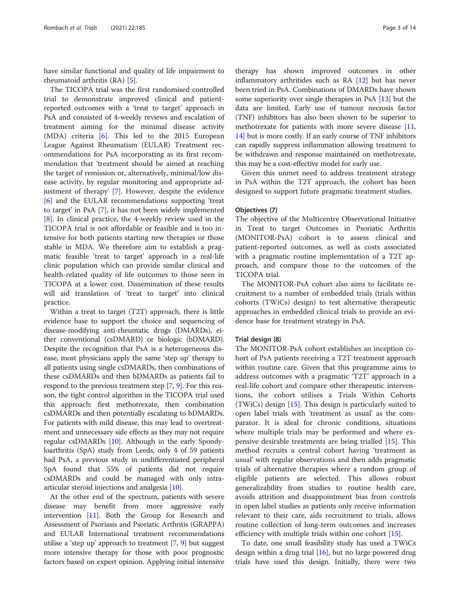have similar functional and quality of life impairment to rheumatoid arthritis (RA) [[5\]](#page-13-0).

The TICOPA trial was the first randomised controlled trial to demonstrate improved clinical and patientreported outcomes with a 'treat to target' approach in PsA and consisted of 4-weekly reviews and escalation of treatment aiming for the minimal disease activity (MDA) criteria [\[6](#page-13-0)]. This led to the 2015 European League Against Rheumatism (EULAR) Treatment recommendations for PsA incorporating as its first recommendation that 'treatment should be aimed at reaching the target of remission or, alternatively, minimal/low disease activity, by regular monitoring and appropriate adjustment of therapy' [\[7](#page-13-0)]. However, despite the evidence [[6\]](#page-13-0) and the EULAR recommendations supporting 'treat to target' in PsA [\[7\]](#page-13-0), it has not been widely implemented [[8\]](#page-13-0). In clinical practice, the 4-weekly review used in the TICOPA trial is not affordable or feasible and is too intensive for both patients starting new therapies or those stable in MDA. We therefore aim to establish a pragmatic feasible 'treat to target' approach in a real-life clinic population which can provide similar clinical and health-related quality of life outcomes to those seen in TICOPA at a lower cost. Dissemination of these results will aid translation of 'treat to target' into clinical practice.

Within a treat to target (T2T) approach, there is little evidence base to support the choice and sequencing of disease-modifying anti-rheumatic drugs (DMARDs), either conventional (csDMARD) or biologic (bDMARD). Despite the recognition that PsA is a heterogeneous disease, most physicians apply the same 'step up' therapy to all patients using single csDMARDs, then combinations of these csDMARDs and then bDMARDs as patients fail to respond to the previous treatment step [[7](#page-13-0), [9](#page-13-0)]. For this reason, the tight control algorithm in the TICOPA trial used this approach: first methotrexate, then combination csDMARDs and then potentially escalating to bDMARDs. For patients with mild disease, this may lead to overtreatment and unnecessary side effects as they may not require regular csDMARDs [\[10\]](#page-13-0). Although in the early Spondyloarthritis (SpA) study from Leeds, only 4 of 59 patients had PsA, a previous study in undifferentiated peripheral SpA found that 55% of patients did not require csDMARDs and could be managed with only intraarticular steroid injections and analgesia [[10](#page-13-0)].

At the other end of the spectrum, patients with severe disease may benefit from more aggressive early intervention [\[11\]](#page-13-0). Both the Group for Research and Assessment of Psoriasis and Psoriatic Arthritis (GRAPPA) and EULAR International treatment recommendations utilise a 'step up' approach to treatment [[7,](#page-13-0) [9\]](#page-13-0) but suggest more intensive therapy for those with poor prognostic factors based on expert opinion. Applying initial intensive

therapy has shown improved outcomes in other inflammatory arthritides such as RA [\[12\]](#page-13-0) but has never been tried in PsA. Combinations of DMARDs have shown some superiority over single therapies in PsA [[13](#page-13-0)] but the data are limited. Early use of tumour necrosis factor (TNF) inhibitors has also been shown to be superior to methotrexate for patients with more severe disease [[11](#page-13-0), [14](#page-13-0)] but is more costly. If an early course of TNF inhibitors can rapidly suppress inflammation allowing treatment to be withdrawn and response maintained on methotrexate, this may be a cost-effective model for early use.

Given this unmet need to address treatment strategy in PsA within the T2T approach, the cohort has been designed to support future pragmatic treatment studies.

#### Objectives {7}

The objective of the Multicentre Observational Initiative in Treat to target Outcomes in Psoriatic Arthritis (MONITOR-PsA) cohort is to assess clinical and patient-reported outcomes, as well as costs associated with a pragmatic routine implementation of a T2T approach, and compare those to the outcomes of the TICOPA trial.

The MONITOR-PsA cohort also aims to facilitate recruitment to a number of embedded trials (trials within cohorts (TWiCs) design) to test alternative therapeutic approaches in embedded clinical trials to provide an evidence base for treatment strategy in PsA.

#### Trial design {8}

The MONITOR-PsA cohort establishes an inception cohort of PsA patients receiving a T2T treatment approach within routine care. Given that this programme aims to address outcomes with a pragmatic 'T2T' approach in a real-life cohort and compare other therapeutic interventions, the cohort utilises a Trials Within Cohorts (TWiCs) design [[15\]](#page-13-0). This design is particularly suited to open label trials with 'treatment as usual' as the comparator. It is ideal for chronic conditions, situations where multiple trials may be performed and where expensive desirable treatments are being trialled [[15\]](#page-13-0). This method recruits a central cohort having 'treatment as usual' with regular observations and then adds pragmatic trials of alternative therapies where a random group of eligible patients are selected. This allows robust generalizability from studies to routine health care, avoids attrition and disappointment bias from controls in open label studies as patients only receive information relevant to their care, aids recruitment to trials, allows routine collection of long-term outcomes and increases efficiency with multiple trials within one cohort [\[15](#page-13-0)].

To date, one small feasibility study has used a TWiCs design within a drug trial [[16](#page-13-0)], but no large powered drug trials have used this design. Initially, there were two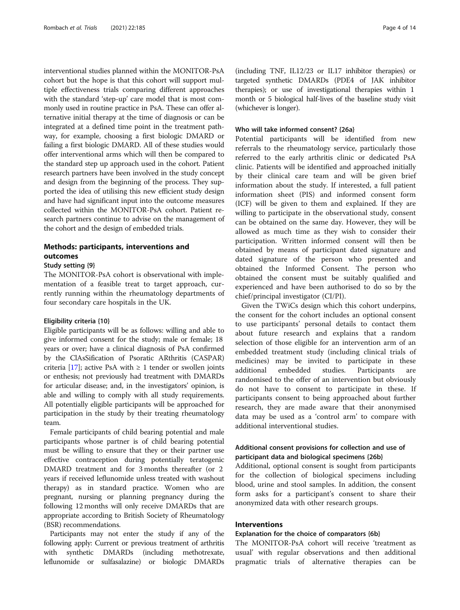interventional studies planned within the MONITOR-PsA cohort but the hope is that this cohort will support multiple effectiveness trials comparing different approaches with the standard 'step-up' care model that is most commonly used in routine practice in PsA. These can offer alternative initial therapy at the time of diagnosis or can be integrated at a defined time point in the treatment pathway, for example, choosing a first biologic DMARD or failing a first biologic DMARD. All of these studies would offer interventional arms which will then be compared to the standard step up approach used in the cohort. Patient research partners have been involved in the study concept and design from the beginning of the process. They supported the idea of utilising this new efficient study design and have had significant input into the outcome measures collected within the MONITOR-PsA cohort. Patient research partners continue to advise on the management of the cohort and the design of embedded trials.

### Methods: participants, interventions and outcomes

#### Study setting {9}

The MONITOR-PsA cohort is observational with implementation of a feasible treat to target approach, currently running within the rheumatology departments of four secondary care hospitals in the UK.

#### Eligibility criteria {10}

Eligible participants will be as follows: willing and able to give informed consent for the study; male or female; 18 years or over; have a clinical diagnosis of PsA confirmed by the ClAsSification of Psoratic ARthritis (CASPAR) criteria [\[17](#page-13-0)]; active PsA with  $\geq 1$  tender or swollen joints or enthesis; not previously had treatment with DMARDs for articular disease; and, in the investigators' opinion, is able and willing to comply with all study requirements. All potentially eligible participants will be approached for participation in the study by their treating rheumatology team.

Female participants of child bearing potential and male participants whose partner is of child bearing potential must be willing to ensure that they or their partner use effective contraception during potentially teratogenic DMARD treatment and for 3 months thereafter (or 2 years if received leflunomide unless treated with washout therapy) as in standard practice. Women who are pregnant, nursing or planning pregnancy during the following 12 months will only receive DMARDs that are appropriate according to British Society of Rheumatology (BSR) recommendations.

Participants may not enter the study if any of the following apply: Current or previous treatment of arthritis with synthetic DMARDs (including methotrexate, leflunomide or sulfasalazine) or biologic DMARDs (including TNF, IL12/23 or IL17 inhibitor therapies) or targeted synthetic DMARDs (PDE4 of JAK inhibitor therapies); or use of investigational therapies within 1 month or 5 biological half-lives of the baseline study visit (whichever is longer).

### Who will take informed consent? {26a}

Potential participants will be identified from new referrals to the rheumatology service, particularly those referred to the early arthritis clinic or dedicated PsA clinic. Patients will be identified and approached initially by their clinical care team and will be given brief information about the study. If interested, a full patient information sheet (PIS) and informed consent form (ICF) will be given to them and explained. If they are willing to participate in the observational study, consent can be obtained on the same day. However, they will be allowed as much time as they wish to consider their participation. Written informed consent will then be obtained by means of participant dated signature and dated signature of the person who presented and obtained the Informed Consent. The person who obtained the consent must be suitably qualified and experienced and have been authorised to do so by the chief/principal investigator (CI/PI).

Given the TWiCs design which this cohort underpins, the consent for the cohort includes an optional consent to use participants' personal details to contact them about future research and explains that a random selection of those eligible for an intervention arm of an embedded treatment study (including clinical trials of medicines) may be invited to participate in these additional embedded studies. Participants are randomised to the offer of an intervention but obviously do not have to consent to participate in these. If participants consent to being approached about further research, they are made aware that their anonymised data may be used as a 'control arm' to compare with additional interventional studies.

### Additional consent provisions for collection and use of participant data and biological specimens {26b}

Additional, optional consent is sought from participants for the collection of biological specimens including blood, urine and stool samples. In addition, the consent form asks for a participant's consent to share their anonymized data with other research groups.

### Interventions

#### Explanation for the choice of comparators {6b}

The MONITOR-PsA cohort will receive 'treatment as usual' with regular observations and then additional pragmatic trials of alternative therapies can be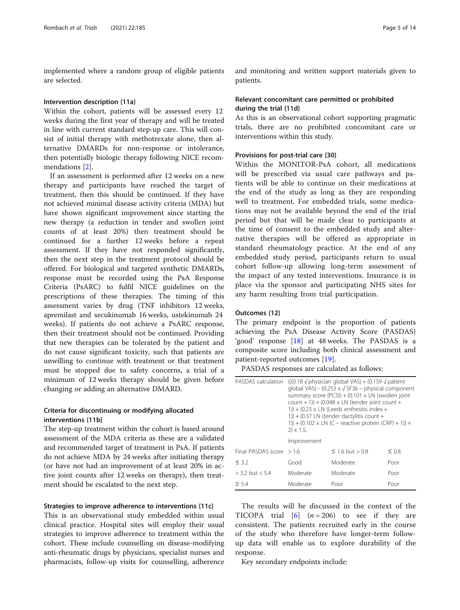implemented where a random group of eligible patients are selected.

#### Intervention description {11a}

Within the cohort, patients will be assessed every 12 weeks during the first year of therapy and will be treated in line with current standard step-up care. This will consist of initial therapy with methotrexate alone, then alternative DMARDs for non-response or intolerance, then potentially biologic therapy following NICE recommendations [\[2](#page-13-0)].

If an assessment is performed after 12 weeks on a new therapy and participants have reached the target of treatment, then this should be continued. If they have not achieved minimal disease activity criteria (MDA) but have shown significant improvement since starting the new therapy (a reduction in tender and swollen joint counts of at least 20%) then treatment should be continued for a further 12 weeks before a repeat assessment. If they have not responded significantly, then the next step in the treatment protocol should be offered. For biological and targeted synthetic DMARDs, response must be recorded using the PsA Response Criteria (PsARC) to fulfil NICE guidelines on the prescriptions of these therapies. The timing of this assessment varies by drug (TNF inhibitors 12 weeks, apremilast and secukinumab 16 weeks, ustekinumab 24 weeks). If patients do not achieve a PsARC response, then their treatment should not be continued. Providing that new therapies can be tolerated by the patient and do not cause significant toxicity, such that patients are unwilling to continue with treatment or that treatment must be stopped due to safety concerns, a trial of a minimum of 12 weeks therapy should be given before changing or adding an alternative DMARD.

### Criteria for discontinuing or modifying allocated interventions {11b}

The step-up treatment within the cohort is based around assessment of the MDA criteria as these are a validated and recommended target of treatment in PsA. If patients do not achieve MDA by 24 weeks after initiating therapy (or have not had an improvement of at least 20% in active joint counts after 12 weeks on therapy), then treatment should be escalated to the next step.

### Strategies to improve adherence to interventions {11c}

This is an observational study embedded within usual clinical practice. Hospital sites will employ their usual strategies to improve adherence to treatment within the cohort. These include counselling on disease-modifying anti-rheumatic drugs by physicians, specialist nurses and pharmacists, follow-up visits for counselling, adherence

and monitoring and written support materials given to patients.

### Relevant concomitant care permitted or prohibited during the trial {11d}

As this is an observational cohort supporting pragmatic trials, there are no prohibited concomitant care or interventions within this study.

### Provisions for post-trial care {30}

Within the MONITOR-PsA cohort, all medications will be prescribed via usual care pathways and patients will be able to continue on their medications at the end of the study as long as they are responding well to treatment. For embedded trials, some medications may not be available beyond the end of the trial period but that will be made clear to participants at the time of consent to the embedded study and alternative therapies will be offered as appropriate in standard rheumatology practice. At the end of any embedded study period, participants return to usual cohort follow-up allowing long-term assessment of the impact of any tested interventions. Insurance is in place via the sponsor and participating NHS sites for any harm resulting from trial participation.

### Outcomes {12}

The primary endpoint is the proportion of patients achieving the PsA Disease Activity Score (PASDAS) 'good' response [[18\]](#page-13-0) at 48 weeks. The PASDAS is a composite score including both clinical assessment and patient-reported outcomes [\[19\]](#page-13-0).

PASDAS responses are calculated as follows:

| PASDAS calculation        | $(((0.18 \sqrt{\text{physical}} \text{ of } 10.159 \sqrt{\text{ patient}}))$<br>global VAS) – (0.253 x $\sqrt{\text{SF36}}$ – physical component<br>summary score (PCS)) + (0.101 x LN (swollen joint<br>$count + 1)$ ) + (0.048 x LN (tender joint count +<br>$(1)$ + (0.23 x LN (Leeds enthesitis index +<br>$(1)$ + (0.37 LN (tender dactylitis count +<br>1)) + (0.102 x LN (C – reactive protein (CRP) + 1)) +<br>$2) \times 1.5$ . |                   |            |  |  |  |
|---------------------------|------------------------------------------------------------------------------------------------------------------------------------------------------------------------------------------------------------------------------------------------------------------------------------------------------------------------------------------------------------------------------------------------------------------------------------------|-------------------|------------|--|--|--|
|                           | Improvement                                                                                                                                                                                                                                                                                                                                                                                                                              |                   |            |  |  |  |
| Final PASDAS score $>1.6$ |                                                                                                                                                                                                                                                                                                                                                                                                                                          | $≤ 1.6$ but > 0.8 | $\leq 0.8$ |  |  |  |
| $\leq$ 3.2                | Good                                                                                                                                                                                                                                                                                                                                                                                                                                     | Moderate          | Poor       |  |  |  |
| $> 3.2$ but $< 5.4$       | Moderate                                                                                                                                                                                                                                                                                                                                                                                                                                 | Moderate          | Poor       |  |  |  |
| $\geq$ 5.4                | Moderate                                                                                                                                                                                                                                                                                                                                                                                                                                 | Poor              | Poor       |  |  |  |

The results will be discussed in the context of the TICOPA trial  $\begin{bmatrix} 6 \end{bmatrix}$  (*n* = 206) to see if they are consistent. The patients recruited early in the course of the study who therefore have longer-term followup data will enable us to explore durability of the response.

Key secondary endpoints include: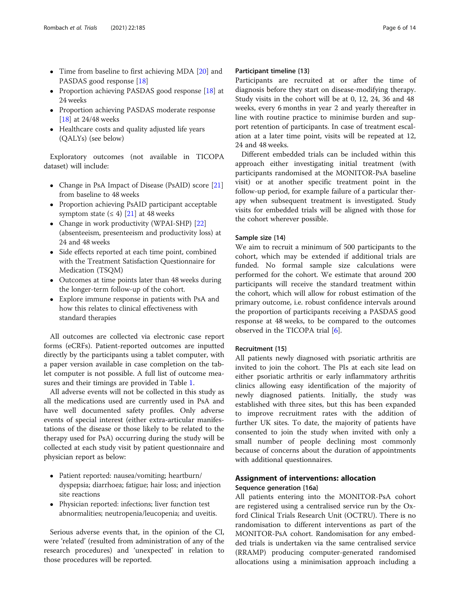- Time from baseline to first achieving MDA [[20](#page-13-0)] and PASDAS good response [\[18](#page-13-0)]
- Proportion achieving PASDAS good response [[18](#page-13-0)] at 24 weeks
- Proportion achieving PASDAS moderate response [[18](#page-13-0)] at 24/48 weeks
- Healthcare costs and quality adjusted life years (QALYs) (see below)

Exploratory outcomes (not available in TICOPA dataset) will include:

- Change in PsA Impact of Disease (PsAID) score [[21](#page-13-0)] from baseline to 48 weeks
- Proportion achieving PsAID participant acceptable symptom state  $(≤ 4)$  [\[21\]](#page-13-0) at 48 weeks
- Change in work productivity (WPAI-SHP) [[22](#page-13-0)] (absenteeism, presenteeism and productivity loss) at 24 and 48 weeks
- Side effects reported at each time point, combined with the Treatment Satisfaction Questionnaire for Medication (TSQM)
- Outcomes at time points later than 48 weeks during the longer-term follow-up of the cohort.
- Explore immune response in patients with PsA and how this relates to clinical effectiveness with standard therapies

All outcomes are collected via electronic case report forms (eCRFs). Patient-reported outcomes are inputted directly by the participants using a tablet computer, with a paper version available in case completion on the tablet computer is not possible. A full list of outcome measures and their timings are provided in Table [1.](#page-6-0)

All adverse events will not be collected in this study as all the medications used are currently used in PsA and have well documented safety profiles. Only adverse events of special interest (either extra-articular manifestations of the disease or those likely to be related to the therapy used for PsA) occurring during the study will be collected at each study visit by patient questionnaire and physician report as below:

- Patient reported: nausea/vomiting; heartburn/ dyspepsia; diarrhoea; fatigue; hair loss; and injection site reactions
- Physician reported: infections; liver function test abnormalities; neutropenia/leucopenia; and uveitis.

Serious adverse events that, in the opinion of the CI, were 'related' (resulted from administration of any of the research procedures) and 'unexpected' in relation to those procedures will be reported.

### Participant timeline {13}

Participants are recruited at or after the time of diagnosis before they start on disease-modifying therapy. Study visits in the cohort will be at 0, 12, 24, 36 and 48 weeks, every 6 months in year 2 and yearly thereafter in line with routine practice to minimise burden and support retention of participants. In case of treatment escalation at a later time point, visits will be repeated at 12, 24 and 48 weeks.

Different embedded trials can be included within this approach either investigating initial treatment (with participants randomised at the MONITOR-PsA baseline visit) or at another specific treatment point in the follow-up period, for example failure of a particular therapy when subsequent treatment is investigated. Study visits for embedded trials will be aligned with those for the cohort wherever possible.

### Sample size {14}

We aim to recruit a minimum of 500 participants to the cohort, which may be extended if additional trials are funded. No formal sample size calculations were performed for the cohort. We estimate that around 200 participants will receive the standard treatment within the cohort, which will allow for robust estimation of the primary outcome, i.e. robust confidence intervals around the proportion of participants receiving a PASDAS good response at 48 weeks, to be compared to the outcomes observed in the TICOPA trial [[6\]](#page-13-0).

### Recruitment {15}

All patients newly diagnosed with psoriatic arthritis are invited to join the cohort. The PIs at each site lead on either psoriatic arthritis or early inflammatory arthritis clinics allowing easy identification of the majority of newly diagnosed patients. Initially, the study was established with three sites, but this has been expanded to improve recruitment rates with the addition of further UK sites. To date, the majority of patients have consented to join the study when invited with only a small number of people declining most commonly because of concerns about the duration of appointments with additional questionnaires.

### Assignment of interventions: allocation Sequence generation {16a}

All patients entering into the MONITOR-PsA cohort are registered using a centralised service run by the Oxford Clinical Trials Research Unit (OCTRU). There is no randomisation to different interventions as part of the MONITOR-PsA cohort. Randomisation for any embedded trials is undertaken via the same centralised service (RRAMP) producing computer-generated randomised allocations using a minimisation approach including a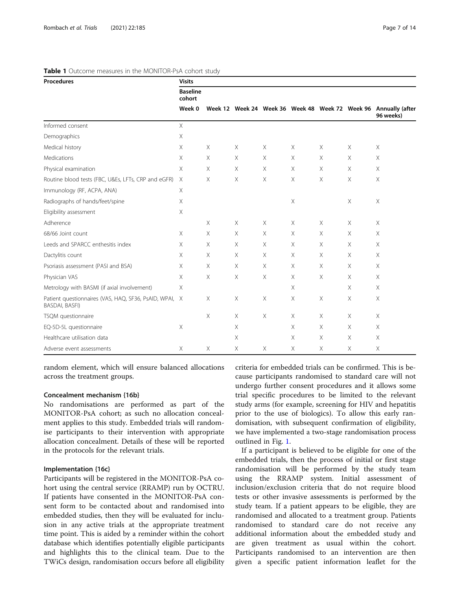| <b>Procedures</b>                                                               | <b>Visits</b>             |          |          |   |          |          |          |                                                                              |
|---------------------------------------------------------------------------------|---------------------------|----------|----------|---|----------|----------|----------|------------------------------------------------------------------------------|
|                                                                                 | <b>Baseline</b><br>cohort |          |          |   |          |          |          | Week 12 Week 24 Week 36 Week 48 Week 72 Week 96 Annually (after<br>96 weeks) |
|                                                                                 | Week 0                    |          |          |   |          |          |          |                                                                              |
| Informed consent                                                                | $\times$                  |          |          |   |          |          |          |                                                                              |
| Demographics                                                                    | X                         |          |          |   |          |          |          |                                                                              |
| Medical history                                                                 | X                         | $\times$ | Χ        | Χ | Χ        | X        | X        | Χ                                                                            |
| Medications                                                                     | $\times$                  | X        | X        | Χ | Χ        | X        | X        | $\times$                                                                     |
| Physical examination                                                            | X                         | X        | X        | X | Χ        | X        | X        | $\times$                                                                     |
| Routine blood tests (FBC, U&Es, LFTs, CRP and eGFR)                             | $\times$                  | X        | X        | Χ | Χ        | X        | X        | Χ                                                                            |
| Immunology (RF, ACPA, ANA)                                                      | $\times$                  |          |          |   |          |          |          |                                                                              |
| Radiographs of hands/feet/spine                                                 | X                         |          |          |   | Χ        |          | Χ        | X                                                                            |
| Eligibility assessment                                                          | X                         |          |          |   |          |          |          |                                                                              |
| Adherence                                                                       |                           | Χ        | X        | X | Χ        | X        | X        | Χ                                                                            |
| 68/66 Joint count                                                               | $\times$                  | Χ        | X        | Χ | Χ        | X        | Χ        | X                                                                            |
| Leeds and SPARCC enthesitis index                                               | X                         | X        | X        | X | Χ        | $\times$ | X        | X                                                                            |
| Dactylitis count                                                                | $\times$                  | X        | X        | Χ | Χ        | $\times$ | X        | X                                                                            |
| Psoriasis assessment (PASI and BSA)                                             | X                         | X        | X        | X | X        | X        | X        | X                                                                            |
| Physician VAS                                                                   | X                         | Χ        | X        | Χ | Χ        | Χ        | X        | X                                                                            |
| Metrology with BASMI (if axial involvement)                                     | X                         |          |          |   | X        |          | X        | $\times$                                                                     |
| Patient questionnaires (VAS, HAQ, SF36, PsAID, WPAI, X<br><b>BASDAI, BASFI)</b> |                           | Χ        | Χ        | Χ | Χ        | X        | X        | Χ                                                                            |
| TSQM questionnaire                                                              |                           | X        | $\times$ | X | $\times$ | X        | $\times$ | $\times$                                                                     |
| EQ-5D-5L questionnaire                                                          | X                         |          | X        |   | Χ        | X        | X        | X                                                                            |
| Healthcare utilisation data                                                     |                           |          | X        |   | Χ        | X        | X        | X                                                                            |
| Adverse event assessments                                                       | Χ                         | Χ        | X        | Χ | Χ        | X        | Χ        | Χ                                                                            |

#### <span id="page-6-0"></span>Table 1 Outcome measures in the MONITOR-PsA cohort study

random element, which will ensure balanced allocations across the treatment groups.

### Concealment mechanism {16b}

No randomisations are performed as part of the MONITOR-PsA cohort; as such no allocation concealment applies to this study. Embedded trials will randomise participants to their intervention with appropriate allocation concealment. Details of these will be reported in the protocols for the relevant trials.

#### Implementation {16c}

Participants will be registered in the MONITOR-PsA cohort using the central service (RRAMP) run by OCTRU. If patients have consented in the MONITOR-PsA consent form to be contacted about and randomised into embedded studies, then they will be evaluated for inclusion in any active trials at the appropriate treatment time point. This is aided by a reminder within the cohort database which identifies potentially eligible participants and highlights this to the clinical team. Due to the TWiCs design, randomisation occurs before all eligibility criteria for embedded trials can be confirmed. This is because participants randomised to standard care will not undergo further consent procedures and it allows some trial specific procedures to be limited to the relevant study arms (for example, screening for HIV and hepatitis prior to the use of biologics). To allow this early randomisation, with subsequent confirmation of eligibility, we have implemented a two-stage randomisation process outlined in Fig. [1.](#page-7-0)

If a participant is believed to be eligible for one of the embedded trials, then the process of initial or first stage randomisation will be performed by the study team using the RRAMP system. Initial assessment of inclusion/exclusion criteria that do not require blood tests or other invasive assessments is performed by the study team. If a patient appears to be eligible, they are randomised and allocated to a treatment group. Patients randomised to standard care do not receive any additional information about the embedded study and are given treatment as usual within the cohort. Participants randomised to an intervention are then given a specific patient information leaflet for the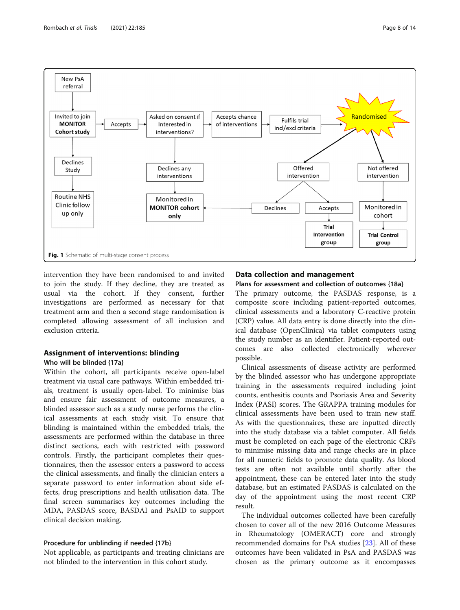<span id="page-7-0"></span>

intervention they have been randomised to and invited to join the study. If they decline, they are treated as usual via the cohort. If they consent, further investigations are performed as necessary for that treatment arm and then a second stage randomisation is completed allowing assessment of all inclusion and exclusion criteria.

### Assignment of interventions: blinding Who will be blinded {17a}

Within the cohort, all participants receive open-label treatment via usual care pathways. Within embedded trials, treatment is usually open-label. To minimise bias and ensure fair assessment of outcome measures, a blinded assessor such as a study nurse performs the clinical assessments at each study visit. To ensure that blinding is maintained within the embedded trials, the assessments are performed within the database in three distinct sections, each with restricted with password controls. Firstly, the participant completes their questionnaires, then the assessor enters a password to access the clinical assessments, and finally the clinician enters a separate password to enter information about side effects, drug prescriptions and health utilisation data. The final screen summarises key outcomes including the MDA, PASDAS score, BASDAI and PsAID to support clinical decision making.

### Procedure for unblinding if needed {17b}

Not applicable, as participants and treating clinicians are not blinded to the intervention in this cohort study.

### Data collection and management

### Plans for assessment and collection of outcomes {18a}

The primary outcome, the PASDAS response, is a composite score including patient-reported outcomes, clinical assessments and a laboratory C-reactive protein (CRP) value. All data entry is done directly into the clinical database (OpenClinica) via tablet computers using the study number as an identifier. Patient-reported outcomes are also collected electronically wherever possible.

Clinical assessments of disease activity are performed by the blinded assessor who has undergone appropriate training in the assessments required including joint counts, enthesitis counts and Psoriasis Area and Severity Index (PASI) scores. The GRAPPA training modules for clinical assessments have been used to train new staff. As with the questionnaires, these are inputted directly into the study database via a tablet computer. All fields must be completed on each page of the electronic CRFs to minimise missing data and range checks are in place for all numeric fields to promote data quality. As blood tests are often not available until shortly after the appointment, these can be entered later into the study database, but an estimated PASDAS is calculated on the day of the appointment using the most recent CRP result.

The individual outcomes collected have been carefully chosen to cover all of the new 2016 Outcome Measures in Rheumatology (OMERACT) core and strongly recommended domains for PsA studies [[23\]](#page-13-0). All of these outcomes have been validated in PsA and PASDAS was chosen as the primary outcome as it encompasses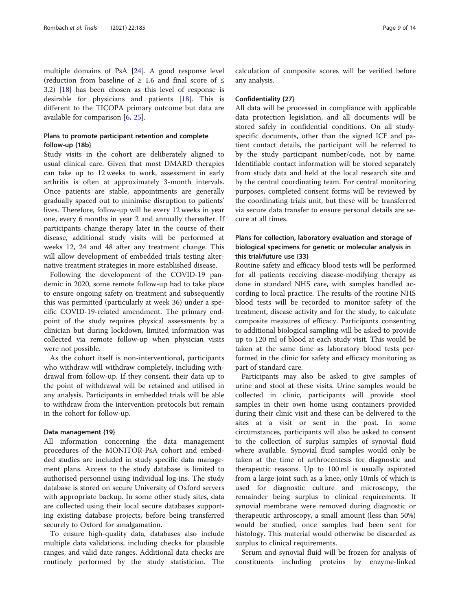multiple domains of PsA [\[24](#page-13-0)]. A good response level (reduction from baseline of  $\geq$  1.6 and final score of  $\leq$ 3.2) [[18\]](#page-13-0) has been chosen as this level of response is desirable for physicians and patients [\[18](#page-13-0)]. This is different to the TICOPA primary outcome but data are available for comparison [\[6,](#page-13-0) [25\]](#page-13-0).

### Plans to promote participant retention and complete follow-up {18b}

Study visits in the cohort are deliberately aligned to usual clinical care. Given that most DMARD therapies can take up to 12 weeks to work, assessment in early arthritis is often at approximately 3-month intervals. Once patients are stable, appointments are generally gradually spaced out to minimise disruption to patients' lives. Therefore, follow-up will be every 12 weeks in year one, every 6 months in year 2 and annually thereafter. If participants change therapy later in the course of their disease, additional study visits will be performed at weeks 12, 24 and 48 after any treatment change. This will allow development of embedded trials testing alternative treatment strategies in more established disease.

Following the development of the COVID-19 pandemic in 2020, some remote follow-up had to take place to ensure ongoing safety on treatment and subsequently this was permitted (particularly at week 36) under a specific COVID-19-related amendment. The primary endpoint of the study requires physical assessments by a clinician but during lockdown, limited information was collected via remote follow-up when physician visits were not possible.

As the cohort itself is non-interventional, participants who withdraw will withdraw completely, including withdrawal from follow-up. If they consent, their data up to the point of withdrawal will be retained and utilised in any analysis. Participants in embedded trials will be able to withdraw from the intervention protocols but remain in the cohort for follow-up.

#### Data management {19}

All information concerning the data management procedures of the MONITOR-PsA cohort and embedded studies are included in study specific data management plans. Access to the study database is limited to authorised personnel using individual log-ins. The study database is stored on secure University of Oxford servers with appropriate backup. In some other study sites, data are collected using their local secure databases supporting existing database projects, before being transferred securely to Oxford for amalgamation.

To ensure high-quality data, databases also include multiple data validations, including checks for plausible ranges, and valid date ranges. Additional data checks are routinely performed by the study statistician. The calculation of composite scores will be verified before any analysis.

#### Confidentiality {27}

All data will be processed in compliance with applicable data protection legislation, and all documents will be stored safely in confidential conditions. On all studyspecific documents, other than the signed ICF and patient contact details, the participant will be referred to by the study participant number/code, not by name. Identifiable contact information will be stored separately from study data and held at the local research site and by the central coordinating team. For central monitoring purposes, completed consent forms will be reviewed by the coordinating trials unit, but these will be transferred via secure data transfer to ensure personal details are secure at all times.

### Plans for collection, laboratory evaluation and storage of biological specimens for genetic or molecular analysis in this trial/future use {33}

Routine safety and efficacy blood tests will be performed for all patients receiving disease-modifying therapy as done in standard NHS care, with samples handled according to local practice. The results of the routine NHS blood tests will be recorded to monitor safety of the treatment, disease activity and for the study, to calculate composite measures of efficacy. Participants consenting to additional biological sampling will be asked to provide up to 120 ml of blood at each study visit. This would be taken at the same time as laboratory blood tests performed in the clinic for safety and efficacy monitoring as part of standard care.

Participants may also be asked to give samples of urine and stool at these visits. Urine samples would be collected in clinic, participants will provide stool samples in their own home using containers provided during their clinic visit and these can be delivered to the sites at a visit or sent in the post. In some circumstances, participants will also be asked to consent to the collection of surplus samples of synovial fluid where available. Synovial fluid samples would only be taken at the time of arthrocentesis for diagnostic and therapeutic reasons. Up to 100 ml is usually aspirated from a large joint such as a knee, only 10mls of which is used for diagnostic culture and microscopy, the remainder being surplus to clinical requirements. If synovial membrane were removed during diagnostic or therapeutic arthroscopy, a small amount (less than 50%) would be studied, once samples had been sent for histology. This material would otherwise be discarded as surplus to clinical requirements.

Serum and synovial fluid will be frozen for analysis of constituents including proteins by enzyme-linked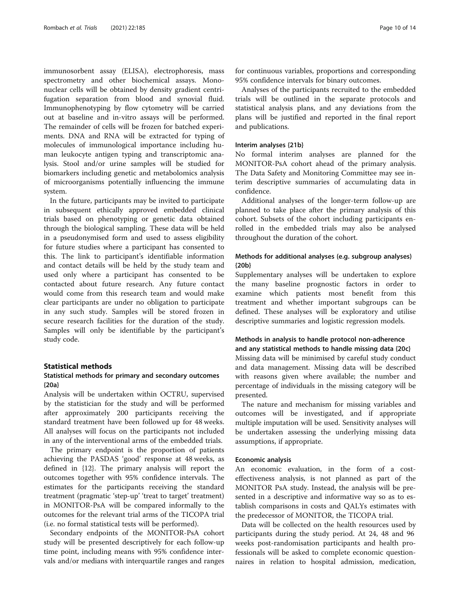immunosorbent assay (ELISA), electrophoresis, mass spectrometry and other biochemical assays. Mononuclear cells will be obtained by density gradient centrifugation separation from blood and synovial fluid. Immunophenotyping by flow cytometry will be carried out at baseline and in-vitro assays will be performed. The remainder of cells will be frozen for batched experiments. DNA and RNA will be extracted for typing of molecules of immunological importance including human leukocyte antigen typing and transcriptomic analysis. Stool and/or urine samples will be studied for biomarkers including genetic and metabolomics analysis of microorganisms potentially influencing the immune system.

In the future, participants may be invited to participate in subsequent ethically approved embedded clinical trials based on phenotyping or genetic data obtained through the biological sampling. These data will be held in a pseudonymised form and used to assess eligibility for future studies where a participant has consented to this. The link to participant's identifiable information and contact details will be held by the study team and used only where a participant has consented to be contacted about future research. Any future contact would come from this research team and would make clear participants are under no obligation to participate in any such study. Samples will be stored frozen in secure research facilities for the duration of the study. Samples will only be identifiable by the participant's study code.

#### Statistical methods

### Statistical methods for primary and secondary outcomes {20a}

Analysis will be undertaken within OCTRU, supervised by the statistician for the study and will be performed after approximately 200 participants receiving the standard treatment have been followed up for 48 weeks. All analyses will focus on the participants not included in any of the interventional arms of the embedded trials.

The primary endpoint is the proportion of patients achieving the PASDAS 'good' response at 48 weeks, as defined in {12}. The primary analysis will report the outcomes together with 95% confidence intervals. The estimates for the participants receiving the standard treatment (pragmatic 'step-up' 'treat to target' treatment) in MONITOR-PsA will be compared informally to the outcomes for the relevant trial arms of the TICOPA trial (i.e. no formal statistical tests will be performed).

Secondary endpoints of the MONITOR-PsA cohort study will be presented descriptively for each follow-up time point, including means with 95% confidence intervals and/or medians with interquartile ranges and ranges

for continuous variables, proportions and corresponding 95% confidence intervals for binary outcomes.

Analyses of the participants recruited to the embedded trials will be outlined in the separate protocols and statistical analysis plans, and any deviations from the plans will be justified and reported in the final report and publications.

#### Interim analyses {21b}

No formal interim analyses are planned for the MONITOR-PsA cohort ahead of the primary analysis. The Data Safety and Monitoring Committee may see interim descriptive summaries of accumulating data in confidence.

Additional analyses of the longer-term follow-up are planned to take place after the primary analysis of this cohort. Subsets of the cohort including participants enrolled in the embedded trials may also be analysed throughout the duration of the cohort.

### Methods for additional analyses (e.g. subgroup analyses) {20b}

Supplementary analyses will be undertaken to explore the many baseline prognostic factors in order to examine which patients most benefit from this treatment and whether important subgroups can be defined. These analyses will be exploratory and utilise descriptive summaries and logistic regression models.

### Methods in analysis to handle protocol non-adherence and any statistical methods to handle missing data {20c}

Missing data will be minimised by careful study conduct and data management. Missing data will be described with reasons given where available; the number and percentage of individuals in the missing category will be presented.

The nature and mechanism for missing variables and outcomes will be investigated, and if appropriate multiple imputation will be used. Sensitivity analyses will be undertaken assessing the underlying missing data assumptions, if appropriate.

### Economic analysis

An economic evaluation, in the form of a costeffectiveness analysis, is not planned as part of the MONITOR PsA study. Instead, the analysis will be presented in a descriptive and informative way so as to establish comparisons in costs and QALYs estimates with the predecessor of MONITOR, the TICOPA trial.

Data will be collected on the health resources used by participants during the study period. At 24, 48 and 96 weeks post-randomisation participants and health professionals will be asked to complete economic questionnaires in relation to hospital admission, medication,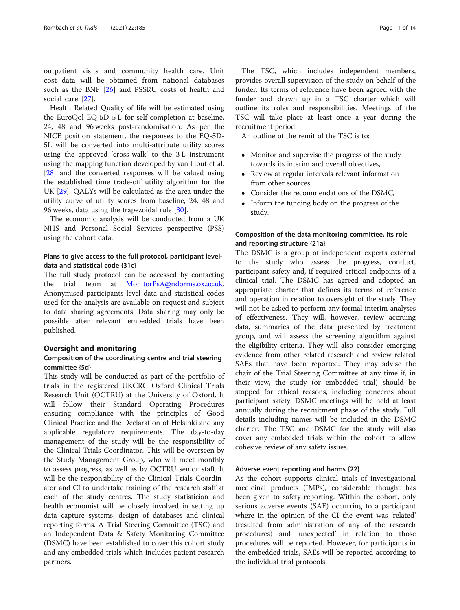outpatient visits and community health care. Unit cost data will be obtained from national databases such as the BNF [[26\]](#page-13-0) and PSSRU costs of health and social care [\[27](#page-13-0)].

Health Related Quality of life will be estimated using the EuroQol EQ-5D 5 L for self-completion at baseline, 24, 48 and 96 weeks post-randomisation. As per the NICE position statement, the responses to the EQ-5D-5L will be converted into multi-attribute utility scores using the approved 'cross-walk' to the 3 L instrument using the mapping function developed by van Hout et al. [[28\]](#page-13-0) and the converted responses will be valued using the established time trade-off utility algorithm for the UK [[29\]](#page-13-0). QALYs will be calculated as the area under the utility curve of utility scores from baseline, 24, 48 and 96 weeks, data using the trapezoidal rule [[30](#page-13-0)].

The economic analysis will be conducted from a UK NHS and Personal Social Services perspective (PSS) using the cohort data.

### Plans to give access to the full protocol, participant leveldata and statistical code {31c}

The full study protocol can be accessed by contacting the trial team at [MonitorPsA@ndorms.ox.ac.uk](http://ndorms.ox.ac.uk). Anonymised participants level data and statistical codes used for the analysis are available on request and subject to data sharing agreements. Data sharing may only be possible after relevant embedded trials have been published.

### Oversight and monitoring

### Composition of the coordinating centre and trial steering committee {5d}

This study will be conducted as part of the portfolio of trials in the registered UKCRC Oxford Clinical Trials Research Unit (OCTRU) at the University of Oxford. It will follow their Standard Operating Procedures ensuring compliance with the principles of Good Clinical Practice and the Declaration of Helsinki and any applicable regulatory requirements. The day-to-day management of the study will be the responsibility of the Clinical Trials Coordinator. This will be overseen by the Study Management Group, who will meet monthly to assess progress, as well as by OCTRU senior staff. It will be the responsibility of the Clinical Trials Coordinator and CI to undertake training of the research staff at each of the study centres. The study statistician and health economist will be closely involved in setting up data capture systems, design of databases and clinical reporting forms. A Trial Steering Committee (TSC) and an Independent Data & Safety Monitoring Committee (DSMC) have been established to cover this cohort study and any embedded trials which includes patient research partners.

The TSC, which includes independent members, provides overall supervision of the study on behalf of the funder. Its terms of reference have been agreed with the funder and drawn up in a TSC charter which will outline its roles and responsibilities. Meetings of the TSC will take place at least once a year during the recruitment period.

An outline of the remit of the TSC is to:

- Monitor and supervise the progress of the study towards its interim and overall objectives,
- Review at regular intervals relevant information from other sources,
- Consider the recommendations of the DSMC,
- Inform the funding body on the progress of the study.

### Composition of the data monitoring committee, its role and reporting structure {21a}

The DSMC is a group of independent experts external to the study who assess the progress, conduct, participant safety and, if required critical endpoints of a clinical trial. The DSMC has agreed and adopted an appropriate charter that defines its terms of reference and operation in relation to oversight of the study. They will not be asked to perform any formal interim analyses of effectiveness. They will, however, review accruing data, summaries of the data presented by treatment group, and will assess the screening algorithm against the eligibility criteria. They will also consider emerging evidence from other related research and review related SAEs that have been reported. They may advise the chair of the Trial Steering Committee at any time if, in their view, the study (or embedded trial) should be stopped for ethical reasons, including concerns about participant safety. DSMC meetings will be held at least annually during the recruitment phase of the study. Full details including names will be included in the DSMC charter. The TSC and DSMC for the study will also cover any embedded trials within the cohort to allow cohesive review of any safety issues.

### Adverse event reporting and harms {22}

As the cohort supports clinical trials of investigational medicinal products (IMPs), considerable thought has been given to safety reporting. Within the cohort, only serious adverse events (SAE) occurring to a participant where in the opinion of the CI the event was 'related' (resulted from administration of any of the research procedures) and 'unexpected' in relation to those procedures will be reported. However, for participants in the embedded trials, SAEs will be reported according to the individual trial protocols.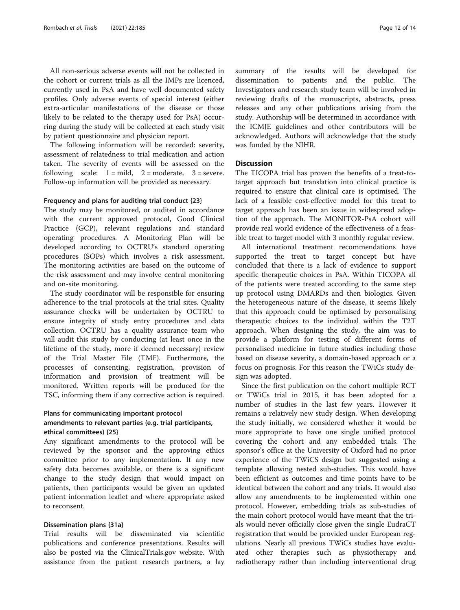All non-serious adverse events will not be collected in the cohort or current trials as all the IMPs are licenced, currently used in PsA and have well documented safety profiles. Only adverse events of special interest (either extra-articular manifestations of the disease or those likely to be related to the therapy used for PsA) occurring during the study will be collected at each study visit by patient questionnaire and physician report.

The following information will be recorded: severity, assessment of relatedness to trial medication and action taken. The severity of events will be assessed on the following scale:  $1 = \text{mild}$ ,  $2 = \text{moderate}$ ,  $3 = \text{severe}$ . Follow-up information will be provided as necessary.

#### Frequency and plans for auditing trial conduct {23}

The study may be monitored, or audited in accordance with the current approved protocol, Good Clinical Practice (GCP), relevant regulations and standard operating procedures. A Monitoring Plan will be developed according to OCTRU's standard operating procedures (SOPs) which involves a risk assessment. The monitoring activities are based on the outcome of the risk assessment and may involve central monitoring and on-site monitoring.

The study coordinator will be responsible for ensuring adherence to the trial protocols at the trial sites. Quality assurance checks will be undertaken by OCTRU to ensure integrity of study entry procedures and data collection. OCTRU has a quality assurance team who will audit this study by conducting (at least once in the lifetime of the study, more if deemed necessary) review of the Trial Master File (TMF). Furthermore, the processes of consenting, registration, provision of information and provision of treatment will be monitored. Written reports will be produced for the TSC, informing them if any corrective action is required.

### Plans for communicating important protocol amendments to relevant parties (e.g. trial participants, ethical committees) {25}

Any significant amendments to the protocol will be reviewed by the sponsor and the approving ethics committee prior to any implementation. If any new safety data becomes available, or there is a significant change to the study design that would impact on patients, then participants would be given an updated patient information leaflet and where appropriate asked to reconsent.

### Dissemination plans {31a}

Trial results will be disseminated via scientific publications and conference presentations. Results will also be posted via the ClinicalTrials.gov website. With assistance from the patient research partners, a lay summary of the results will be developed for dissemination to patients and the public. The Investigators and research study team will be involved in reviewing drafts of the manuscripts, abstracts, press releases and any other publications arising from the study. Authorship will be determined in accordance with the ICMJE guidelines and other contributors will be acknowledged. Authors will acknowledge that the study was funded by the NIHR.

### **Discussion**

The TICOPA trial has proven the benefits of a treat-totarget approach but translation into clinical practice is required to ensure that clinical care is optimised. The lack of a feasible cost-effective model for this treat to target approach has been an issue in widespread adoption of the approach. The MONITOR-PsA cohort will provide real world evidence of the effectiveness of a feasible treat to target model with 3 monthly regular review.

All international treatment recommendations have supported the treat to target concept but have concluded that there is a lack of evidence to support specific therapeutic choices in PsA. Within TICOPA all of the patients were treated according to the same step up protocol using DMARDs and then biologics. Given the heterogeneous nature of the disease, it seems likely that this approach could be optimised by personalising therapeutic choices to the individual within the T2T approach. When designing the study, the aim was to provide a platform for testing of different forms of personalised medicine in future studies including those based on disease severity, a domain-based approach or a focus on prognosis. For this reason the TWiCs study design was adopted.

Since the first publication on the cohort multiple RCT or TWiCs trial in 2015, it has been adopted for a number of studies in the last few years. However it remains a relatively new study design. When developing the study initially, we considered whether it would be more appropriate to have one single unified protocol covering the cohort and any embedded trials. The sponsor's office at the University of Oxford had no prior experience of the TWiCS design but suggested using a template allowing nested sub-studies. This would have been efficient as outcomes and time points have to be identical between the cohort and any trials. It would also allow any amendments to be implemented within one protocol. However, embedding trials as sub-studies of the main cohort protocol would have meant that the trials would never officially close given the single EudraCT registration that would be provided under European regulations. Nearly all previous TWiCs studies have evaluated other therapies such as physiotherapy and radiotherapy rather than including interventional drug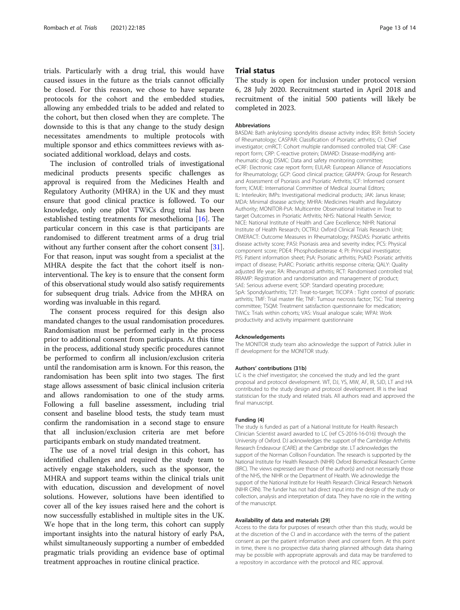trials. Particularly with a drug trial, this would have caused issues in the future as the trials cannot officially be closed. For this reason, we chose to have separate protocols for the cohort and the embedded studies, allowing any embedded trials to be added and related to the cohort, but then closed when they are complete. The downside to this is that any change to the study design necessitates amendments to multiple protocols with multiple sponsor and ethics committees reviews with associated additional workload, delays and costs.

The inclusion of controlled trials of investigational medicinal products presents specific challenges as approval is required from the Medicines Health and Regulatory Authority (MHRA) in the UK and they must ensure that good clinical practice is followed. To our knowledge, only one pilot TWiCs drug trial has been established testing treatments for mesothelioma [\[16](#page-13-0)]. The particular concern in this case is that participants are randomised to different treatment arms of a drug trial without any further consent after the cohort consent [[31](#page-13-0)]. For that reason, input was sought from a specialist at the MHRA despite the fact that the cohort itself is noninterventional. The key is to ensure that the consent form of this observational study would also satisfy requirements for subsequent drug trials. Advice from the MHRA on wording was invaluable in this regard.

The consent process required for this design also mandated changes to the usual randomisation procedures. Randomisation must be performed early in the process prior to additional consent from participants. At this time in the process, additional study specific procedures cannot be performed to confirm all inclusion/exclusion criteria until the randomisation arm is known. For this reason, the randomisation has been split into two stages. The first stage allows assessment of basic clinical inclusion criteria and allows randomisation to one of the study arms. Following a full baseline assessment, including trial consent and baseline blood tests, the study team must confirm the randomisation in a second stage to ensure that all inclusion/exclusion criteria are met before participants embark on study mandated treatment.

The use of a novel trial design in this cohort, has identified challenges and required the study team to actively engage stakeholders, such as the sponsor, the MHRA and support teams within the clinical trials unit with education, discussion and development of novel solutions. However, solutions have been identified to cover all of the key issues raised here and the cohort is now successfully established in multiple sites in the UK. We hope that in the long term, this cohort can supply important insights into the natural history of early PsA, whilst simultaneously supporting a number of embedded pragmatic trials providing an evidence base of optimal treatment approaches in routine clinical practice.

### Trial status

The study is open for inclusion under protocol version 6, 28 July 2020. Recruitment started in April 2018 and recruitment of the initial 500 patients will likely be completed in 2023.

#### Abbreviations

BASDAI: Bath ankylosing spondylitis disease activity index; BSR: British Society of Rheumatology; CASPAR: Classification of Psoriatic arthritis; CI: Chief investigator; cmRCT: Cohort multiple randomised controlled trial; CRF: Case report form; CRP: C-reactive protein; DMARD: Disease-modifying antirheumatic drug; DSMC: Data and safety monitoring committee; eCRF: Electronic case report form; EULAR: European Alliance of Associations for Rheumatology; GCP: Good clinical practice; GRAPPA: Group for Research and Assessment of Psoriasis and Psoriatic Arthritis; ICF: Informed consent form; ICMJE: International Committee of Medical Journal Editors; IL: Interleukin; IMPs: Investigational medicinal products; JAK: Janus kinase; MDA: Minimal disease activity; MHRA: Medicines Health and Regulatory Authority; MONITOR-PsA: Multicentre Observational Initiative in Treat to target Outcomes in Psoriatic Arthritis; NHS: National Health Service; NICE: National Institute of Health and Care Excellence; NIHR: National Institute of Health Research; OCTRU: Oxford Clinical Trials Research Unit; OMERACT: Outcome Measures in Rheumatology; PASDAS: Psoriatic arthritis disease activity score; PASI: Psoriasis area and severity index; PCS: Physical component score; PDE4: Phosphodiesterase 4; PI: Principal investigator; PIS: Patient information sheet; PsA: Psoriatic arthritis; PsAID: Psoriatic arthritis impact of disease; PsARC: Psoriatic arthritis response criteria; QALY: Quality adjusted life year; RA: Rheumatoid arthritis; RCT: Randomised controlled trial; RRAMP: Registration and randomisation and management of product; SAE: Serious adverse event; SOP: Standard operating procedure; SpA: Spondyloarthritis; T2T: Treat-to-target; TICOPA : Tight control of psoriatic arthritis; TMF: Trial master file; TNF: Tumour necrosis factor; TSC: Trial steering committee; TSQM: Treatment satisfaction questionnaire for medication; TWiCs: Trials within cohorts; VAS: Visual analogue scale; WPAI: Work productivity and activity impairment questionnaire

#### Acknowledgements

The MONITOR study team also acknowledge the support of Patrick Julier in IT development for the MONITOR study.

#### Authors' contributions {31b}

LC is the chief investigator; she conceived the study and led the grant proposal and protocol development. WT, DJ, YS, MW, AF, IR, SJD, LT and HA contributed to the study design and protocol development. IR is the lead statistician for the study and related trials. All authors read and approved the final manuscript.

#### Funding {4}

The study is funded as part of a National Institute for Health Research Clinician Scientist award awarded to LC (ref CS-2016-16-016) through the University of Oxford. DJ acknowledges the support of the Cambridge Arthritis Research Endeavour (CARE) at the Cambridge site. LT acknowledges the support of the Norman Collison Foundation. The research is supported by the National Institute for Health Research (NIHR) Oxford Biomedical Research Centre (BRC). The views expressed are those of the author(s) and not necessarily those of the NHS, the NIHR or the Department of Health. We acknowledge the support of the National Institute for Health Research Clinical Research Network (NIHR CRN). The funder has not had direct input into the design of the study or collection, analysis and interpretation of data. They have no role in the writing of the manuscript.

#### Availability of data and materials {29}

Access to the data for purposes of research other than this study, would be at the discretion of the CI and in accordance with the terms of the patient consent as per the patient information sheet and consent form. At this point in time, there is no prospective data sharing planned although data sharing may be possible with appropriate approvals and data may be transferred to a repository in accordance with the protocol and REC approval.